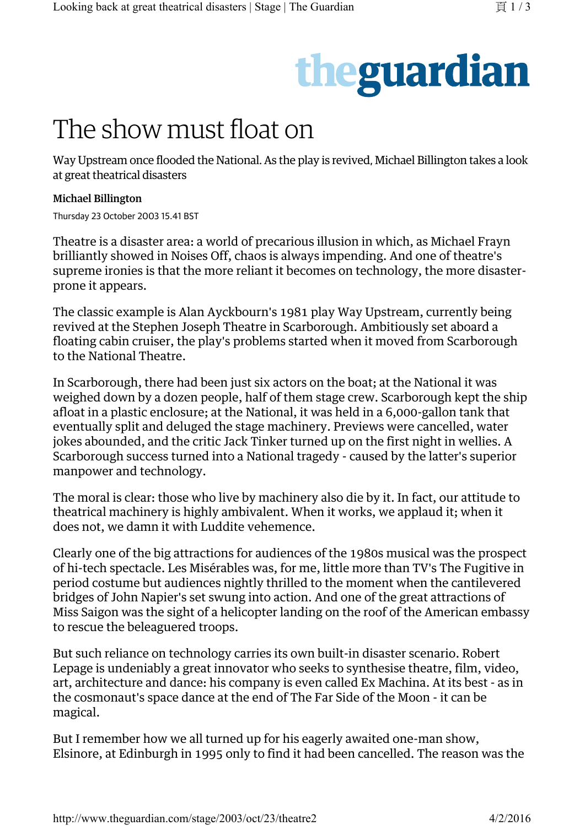## theguardian

## The show must float on

Way Upstream once flooded the National. As the play is revived, Michael Billington takes a look at great theatrical disasters

## Michael Billington

Thursday 23 October 2003 15.41 BST

Theatre is a disaster area: a world of precarious illusion in which, as Michael Frayn brilliantly showed in Noises Off, chaos is always impending. And one of theatre's supreme ironies is that the more reliant it becomes on technology, the more disasterprone it appears.

The classic example is Alan Ayckbourn's 1981 play Way Upstream, currently being revived at the Stephen Joseph Theatre in Scarborough. Ambitiously set aboard a floating cabin cruiser, the play's problems started when it moved from Scarborough to the National Theatre.

In Scarborough, there had been just six actors on the boat; at the National it was weighed down by a dozen people, half of them stage crew. Scarborough kept the ship afloat in a plastic enclosure; at the National, it was held in a 6,000-gallon tank that eventually split and deluged the stage machinery. Previews were cancelled, water jokes abounded, and the critic Jack Tinker turned up on the first night in wellies. A Scarborough success turned into a National tragedy - caused by the latter's superior manpower and technology.

The moral is clear: those who live by machinery also die by it. In fact, our attitude to theatrical machinery is highly ambivalent. When it works, we applaud it; when it does not, we damn it with Luddite vehemence.

Clearly one of the big attractions for audiences of the 1980s musical was the prospect of hi-tech spectacle. Les Misérables was, for me, little more than TV's The Fugitive in period costume but audiences nightly thrilled to the moment when the cantilevered bridges of John Napier's set swung into action. And one of the great attractions of Miss Saigon was the sight of a helicopter landing on the roof of the American embassy to rescue the beleaguered troops.

But such reliance on technology carries its own built-in disaster scenario. Robert Lepage is undeniably a great innovator who seeks to synthesise theatre, film, video, art, architecture and dance: his company is even called Ex Machina. At its best - as in the cosmonaut's space dance at the end of The Far Side of the Moon - it can be magical.

But I remember how we all turned up for his eagerly awaited one-man show, Elsinore, at Edinburgh in 1995 only to find it had been cancelled. The reason was the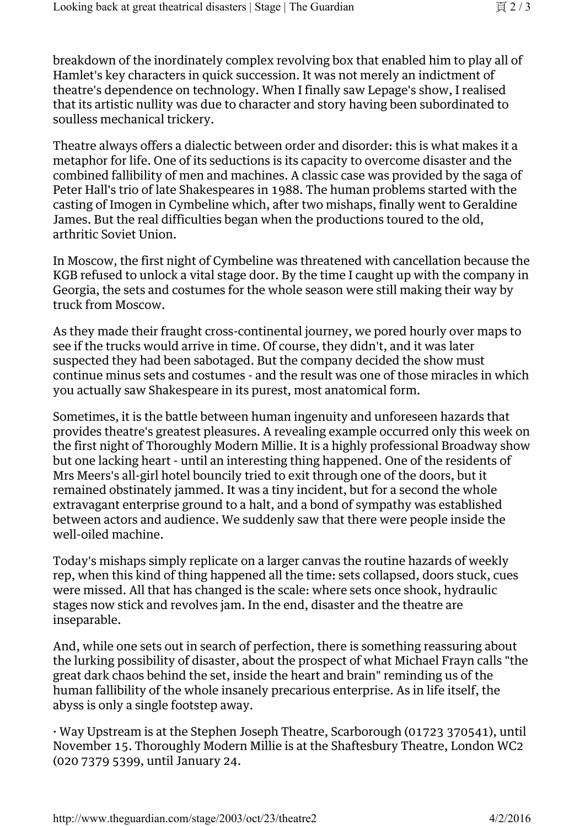breakdown of the inordinately complex revolving box that enabled him to play all of Hamlet's key characters in quick succession. It was not merely an indictment of theatre's dependence on technology. When I finally saw Lepage's show, I realised that its artistic nullity was due to character and story having been subordinated to soulless mechanical trickery.

Theatre always offers a dialectic between order and disorder: this is what makes it a metaphor for life. One of its seductions is its capacity to overcome disaster and the combined fallibility of men and machines. A classic case was provided by the saga of Peter Hall's trio of late Shakespeares in 1988. The human problems started with the casting of Imogen in Cymbeline which, after two mishaps, finally went to Geraldine James. But the real difficulties began when the productions toured to the old, arthritic Soviet Union.

In Moscow, the first night of Cymbeline was threatened with cancellation because the KGB refused to unlock a vital stage door. By the time I caught up with the company in Georgia, the sets and costumes for the whole season were still making their way by truck from Moscow.

As they made their fraught cross-continental journey, we pored hourly over maps to see if the trucks would arrive in time. Of course, they didn't, and it was later suspected they had been sabotaged. But the company decided the show must continue minus sets and costumes - and the result was one of those miracles in which you actually saw Shakespeare in its purest, most anatomical form.

Sometimes, it is the battle between human ingenuity and unforeseen hazards that provides theatre's greatest pleasures. A revealing example occurred only this week on the first night of Thoroughly Modern Millie. It is a highly professional Broadway show but one lacking heart - until an interesting thing happened. One of the residents of Mrs Meers's all-girl hotel bouncily tried to exit through one of the doors, but it remained obstinately jammed. It was a tiny incident, but for a second the whole extravagant enterprise ground to a halt, and a bond of sympathy was established between actors and audience. We suddenly saw that there were people inside the well-oiled machine.

Today's mishaps simply replicate on a larger canvas the routine hazards of weekly rep, when this kind of thing happened all the time: sets collapsed, doors stuck, cues were missed. All that has changed is the scale: where sets once shook, hydraulic stages now stick and revolves jam. In the end, disaster and the theatre are inseparable.

And, while one sets out in search of perfection, there is something reassuring about the lurking possibility of disaster, about the prospect of what Michael Frayn calls "the great dark chaos behind the set, inside the heart and brain" reminding us of the human fallibility of the whole insanely precarious enterprise. As in life itself, the abyss is only a single footstep away.

· Way Upstream is at the Stephen Joseph Theatre, Scarborough (01723 370541), until November 15. Thoroughly Modern Millie is at the Shaftesbury Theatre, London WC2 (020 7379 5399, until January 24.